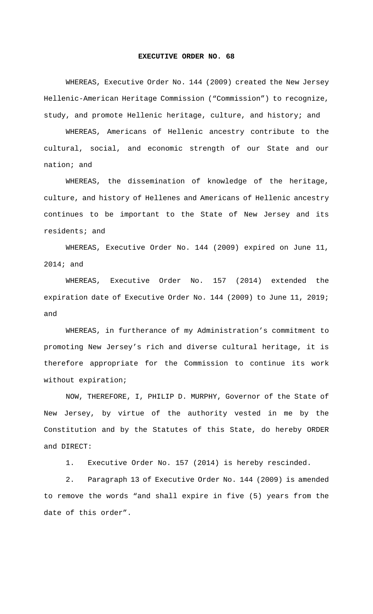## **EXECUTIVE ORDER NO. 68**

WHEREAS, Executive Order No. 144 (2009) created the New Jersey Hellenic-American Heritage Commission ("Commission") to recognize, study, and promote Hellenic heritage, culture, and history; and

WHEREAS, Americans of Hellenic ancestry contribute to the cultural, social, and economic strength of our State and our nation; and

WHEREAS, the dissemination of knowledge of the heritage, culture, and history of Hellenes and Americans of Hellenic ancestry continues to be important to the State of New Jersey and its residents; and

WHEREAS, Executive Order No. 144 (2009) expired on June 11, 2014; and

WHEREAS, Executive Order No. 157 (2014) extended the expiration date of Executive Order No. 144 (2009) to June 11, 2019; and

WHEREAS, in furtherance of my Administration's commitment to promoting New Jersey's rich and diverse cultural heritage, it is therefore appropriate for the Commission to continue its work without expiration;

NOW, THEREFORE, I, PHILIP D. MURPHY, Governor of the State of New Jersey, by virtue of the authority vested in me by the Constitution and by the Statutes of this State, do hereby ORDER and DIRECT:

1. Executive Order No. 157 (2014) is hereby rescinded.

2. Paragraph 13 of Executive Order No. 144 (2009) is amended to remove the words "and shall expire in five (5) years from the date of this order".